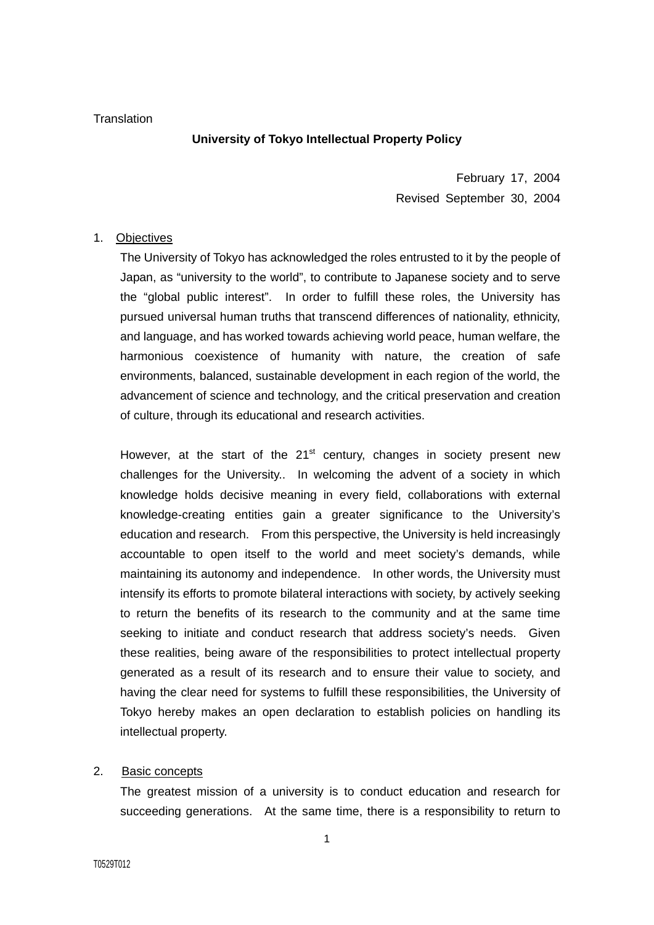### **Translation**

# **University of Tokyo Intellectual Property Policy**

February 17, 2004 Revised September 30, 2004

### 1. Objectives

The University of Tokyo has acknowledged the roles entrusted to it by the people of Japan, as "university to the world", to contribute to Japanese society and to serve the "global public interest". In order to fulfill these roles, the University has pursued universal human truths that transcend differences of nationality, ethnicity, and language, and has worked towards achieving world peace, human welfare, the harmonious coexistence of humanity with nature, the creation of safe environments, balanced, sustainable development in each region of the world, the advancement of science and technology, and the critical preservation and creation of culture, through its educational and research activities.

However, at the start of the  $21<sup>st</sup>$  century, changes in society present new challenges for the University.. In welcoming the advent of a society in which knowledge holds decisive meaning in every field, collaborations with external knowledge-creating entities gain a greater significance to the University's education and research. From this perspective, the University is held increasingly accountable to open itself to the world and meet society's demands, while maintaining its autonomy and independence. In other words, the University must intensify its efforts to promote bilateral interactions with society, by actively seeking to return the benefits of its research to the community and at the same time seeking to initiate and conduct research that address society's needs. Given these realities, being aware of the responsibilities to protect intellectual property generated as a result of its research and to ensure their value to society, and having the clear need for systems to fulfill these responsibilities, the University of Tokyo hereby makes an open declaration to establish policies on handling its intellectual property.

# 2. Basic concepts

The greatest mission of a university is to conduct education and research for succeeding generations. At the same time, there is a responsibility to return to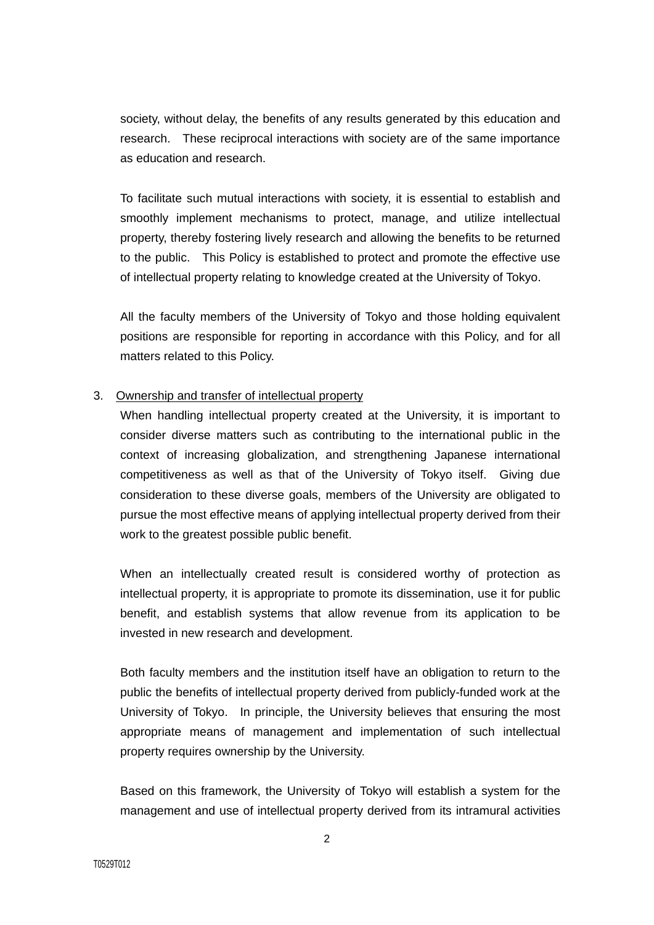society, without delay, the benefits of any results generated by this education and research. These reciprocal interactions with society are of the same importance as education and research.

To facilitate such mutual interactions with society, it is essential to establish and smoothly implement mechanisms to protect, manage, and utilize intellectual property, thereby fostering lively research and allowing the benefits to be returned to the public. This Policy is established to protect and promote the effective use of intellectual property relating to knowledge created at the University of Tokyo.

All the faculty members of the University of Tokyo and those holding equivalent positions are responsible for reporting in accordance with this Policy, and for all matters related to this Policy.

### 3. Ownership and transfer of intellectual property

When handling intellectual property created at the University, it is important to consider diverse matters such as contributing to the international public in the context of increasing globalization, and strengthening Japanese international competitiveness as well as that of the University of Tokyo itself. Giving due consideration to these diverse goals, members of the University are obligated to pursue the most effective means of applying intellectual property derived from their work to the greatest possible public benefit.

When an intellectually created result is considered worthy of protection as intellectual property, it is appropriate to promote its dissemination, use it for public benefit, and establish systems that allow revenue from its application to be invested in new research and development.

Both faculty members and the institution itself have an obligation to return to the public the benefits of intellectual property derived from publicly-funded work at the University of Tokyo. In principle, the University believes that ensuring the most appropriate means of management and implementation of such intellectual property requires ownership by the University.

Based on this framework, the University of Tokyo will establish a system for the management and use of intellectual property derived from its intramural activities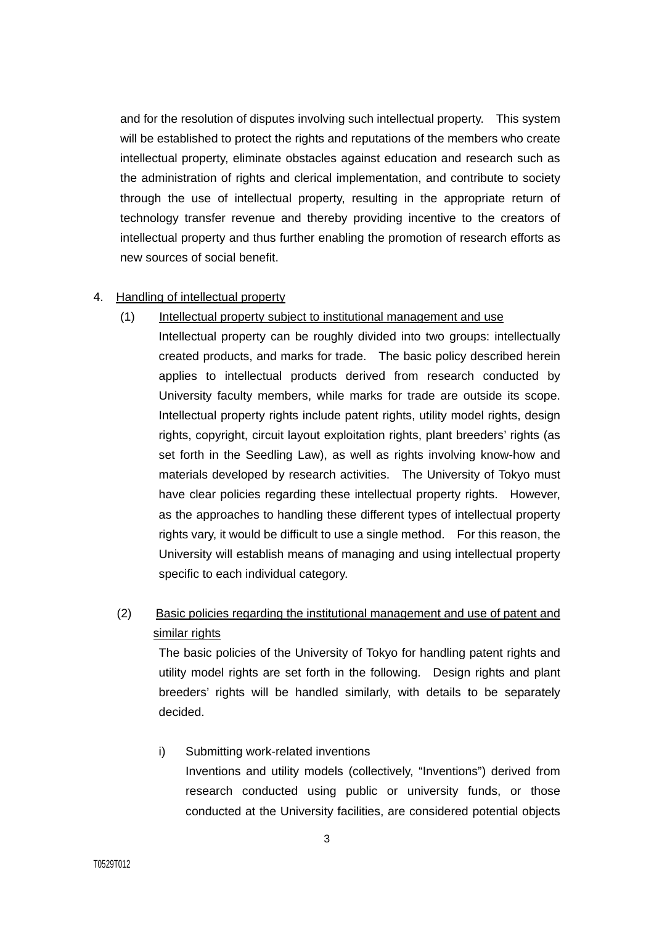and for the resolution of disputes involving such intellectual property. This system will be established to protect the rights and reputations of the members who create intellectual property, eliminate obstacles against education and research such as the administration of rights and clerical implementation, and contribute to society through the use of intellectual property, resulting in the appropriate return of technology transfer revenue and thereby providing incentive to the creators of intellectual property and thus further enabling the promotion of research efforts as new sources of social benefit.

# 4. Handling of intellectual property

# (1) Intellectual property subject to institutional management and use

Intellectual property can be roughly divided into two groups: intellectually created products, and marks for trade. The basic policy described herein applies to intellectual products derived from research conducted by University faculty members, while marks for trade are outside its scope. Intellectual property rights include patent rights, utility model rights, design rights, copyright, circuit layout exploitation rights, plant breeders' rights (as set forth in the Seedling Law), as well as rights involving know-how and materials developed by research activities. The University of Tokyo must have clear policies regarding these intellectual property rights. However, as the approaches to handling these different types of intellectual property rights vary, it would be difficult to use a single method. For this reason, the University will establish means of managing and using intellectual property specific to each individual category.

# (2) Basic policies regarding the institutional management and use of patent and similar rights

The basic policies of the University of Tokyo for handling patent rights and utility model rights are set forth in the following. Design rights and plant breeders' rights will be handled similarly, with details to be separately decided.

i) Submitting work-related inventions Inventions and utility models (collectively, "Inventions") derived from research conducted using public or university funds, or those conducted at the University facilities, are considered potential objects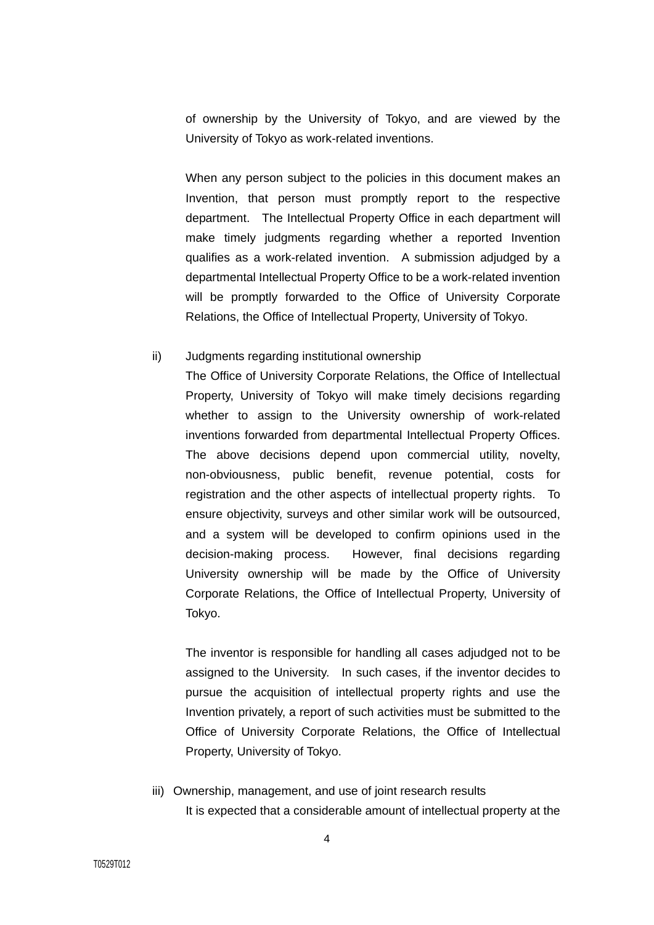of ownership by the University of Tokyo, and are viewed by the University of Tokyo as work-related inventions.

When any person subject to the policies in this document makes an Invention, that person must promptly report to the respective department. The Intellectual Property Office in each department will make timely judgments regarding whether a reported Invention qualifies as a work-related invention. A submission adjudged by a departmental Intellectual Property Office to be a work-related invention will be promptly forwarded to the Office of University Corporate Relations, the Office of Intellectual Property, University of Tokyo.

### ii) Judgments regarding institutional ownership

The Office of University Corporate Relations, the Office of Intellectual Property, University of Tokyo will make timely decisions regarding whether to assign to the University ownership of work-related inventions forwarded from departmental Intellectual Property Offices. The above decisions depend upon commercial utility, novelty, non-obviousness, public benefit, revenue potential, costs for registration and the other aspects of intellectual property rights. To ensure objectivity, surveys and other similar work will be outsourced, and a system will be developed to confirm opinions used in the decision-making process. However, final decisions regarding University ownership will be made by the Office of University Corporate Relations, the Office of Intellectual Property, University of Tokyo.

The inventor is responsible for handling all cases adjudged not to be assigned to the University. In such cases, if the inventor decides to pursue the acquisition of intellectual property rights and use the Invention privately, a report of such activities must be submitted to the Office of University Corporate Relations, the Office of Intellectual Property, University of Tokyo.

iii) Ownership, management, and use of joint research results It is expected that a considerable amount of intellectual property at the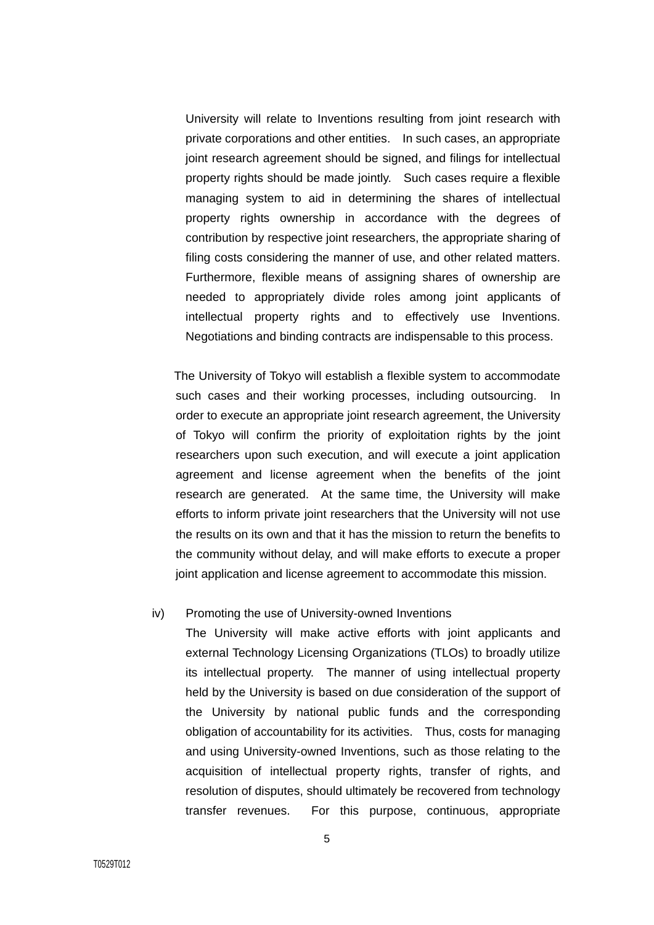University will relate to Inventions resulting from joint research with private corporations and other entities. In such cases, an appropriate joint research agreement should be signed, and filings for intellectual property rights should be made jointly. Such cases require a flexible managing system to aid in determining the shares of intellectual property rights ownership in accordance with the degrees of contribution by respective joint researchers, the appropriate sharing of filing costs considering the manner of use, and other related matters. Furthermore, flexible means of assigning shares of ownership are needed to appropriately divide roles among joint applicants of intellectual property rights and to effectively use Inventions. Negotiations and binding contracts are indispensable to this process.

The University of Tokyo will establish a flexible system to accommodate such cases and their working processes, including outsourcing. In order to execute an appropriate joint research agreement, the University of Tokyo will confirm the priority of exploitation rights by the joint researchers upon such execution, and will execute a joint application agreement and license agreement when the benefits of the joint research are generated. At the same time, the University will make efforts to inform private joint researchers that the University will not use the results on its own and that it has the mission to return the benefits to the community without delay, and will make efforts to execute a proper joint application and license agreement to accommodate this mission.

#### iv) Promoting the use of University-owned Inventions

The University will make active efforts with joint applicants and external Technology Licensing Organizations (TLOs) to broadly utilize its intellectual property. The manner of using intellectual property held by the University is based on due consideration of the support of the University by national public funds and the corresponding obligation of accountability for its activities. Thus, costs for managing and using University-owned Inventions, such as those relating to the acquisition of intellectual property rights, transfer of rights, and resolution of disputes, should ultimately be recovered from technology transfer revenues. For this purpose, continuous, appropriate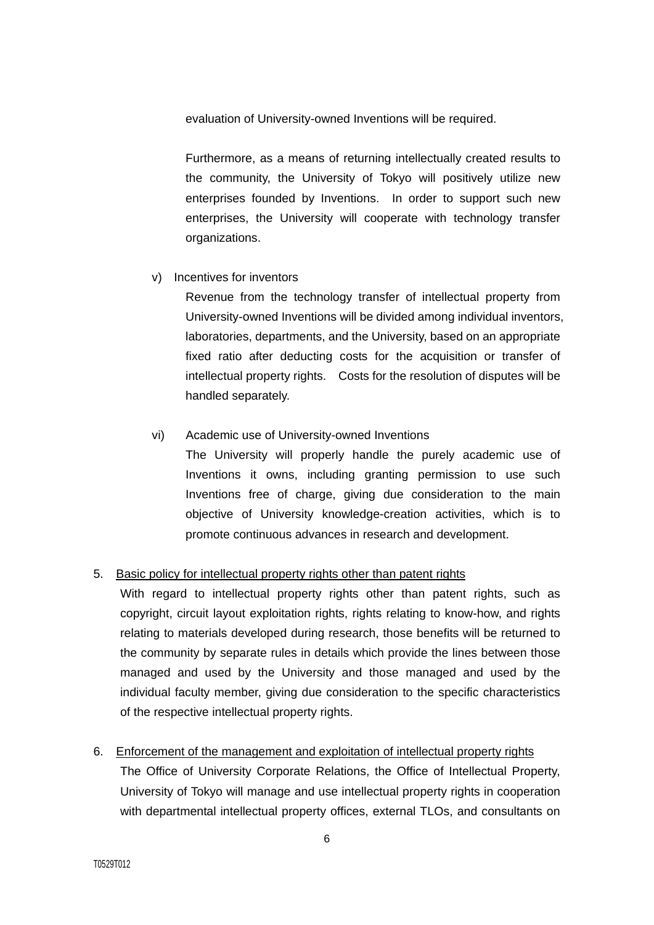evaluation of University-owned Inventions will be required.

Furthermore, as a means of returning intellectually created results to the community, the University of Tokyo will positively utilize new enterprises founded by Inventions. In order to support such new enterprises, the University will cooperate with technology transfer organizations.

v) Incentives for inventors

Revenue from the technology transfer of intellectual property from University-owned Inventions will be divided among individual inventors, laboratories, departments, and the University, based on an appropriate fixed ratio after deducting costs for the acquisition or transfer of intellectual property rights. Costs for the resolution of disputes will be handled separately.

# vi) Academic use of University-owned Inventions

The University will properly handle the purely academic use of Inventions it owns, including granting permission to use such Inventions free of charge, giving due consideration to the main objective of University knowledge-creation activities, which is to promote continuous advances in research and development.

# 5. Basic policy for intellectual property rights other than patent rights

With regard to intellectual property rights other than patent rights, such as copyright, circuit layout exploitation rights, rights relating to know-how, and rights relating to materials developed during research, those benefits will be returned to the community by separate rules in details which provide the lines between those managed and used by the University and those managed and used by the individual faculty member, giving due consideration to the specific characteristics of the respective intellectual property rights.

# 6. Enforcement of the management and exploitation of intellectual property rights

The Office of University Corporate Relations, the Office of Intellectual Property, University of Tokyo will manage and use intellectual property rights in cooperation with departmental intellectual property offices, external TLOs, and consultants on